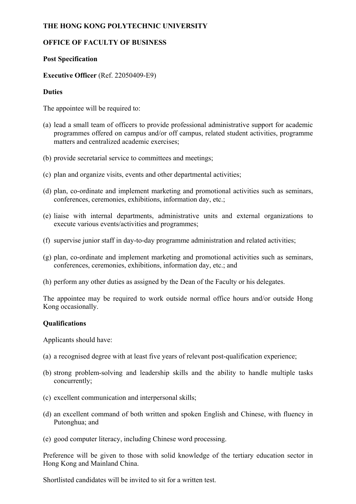# **THE HONG KONG POLYTECHNIC UNIVERSITY**

## **OFFICE OF FACULTY OF BUSINESS**

## **Post Specification**

## **Executive Officer** (Ref. 22050409-E9)

### **Duties**

The appointee will be required to:

- (a) lead a small team of officers to provide professional administrative support for academic programmes offered on campus and/or off campus, related student activities, programme matters and centralized academic exercises;
- (b) provide secretarial service to committees and meetings;
- (c) plan and organize visits, events and other departmental activities;
- (d) plan, co-ordinate and implement marketing and promotional activities such as seminars, conferences, ceremonies, exhibitions, information day, etc.;
- (e) liaise with internal departments, administrative units and external organizations to execute various events/activities and programmes;
- (f) supervise junior staff in day-to-day programme administration and related activities;
- (g) plan, co-ordinate and implement marketing and promotional activities such as seminars, conferences, ceremonies, exhibitions, information day, etc.; and
- (h) perform any other duties as assigned by the Dean of the Faculty or his delegates.

The appointee may be required to work outside normal office hours and/or outside Hong Kong occasionally.

#### **Qualifications**

Applicants should have:

- (a) a recognised degree with at least five years of relevant post-qualification experience;
- (b) strong problem-solving and leadership skills and the ability to handle multiple tasks concurrently;
- (c) excellent communication and interpersonal skills;
- (d) an excellent command of both written and spoken English and Chinese, with fluency in Putonghua; and
- (e) good computer literacy, including Chinese word processing.

Preference will be given to those with solid knowledge of the tertiary education sector in Hong Kong and Mainland China.

Shortlisted candidates will be invited to sit for a written test.